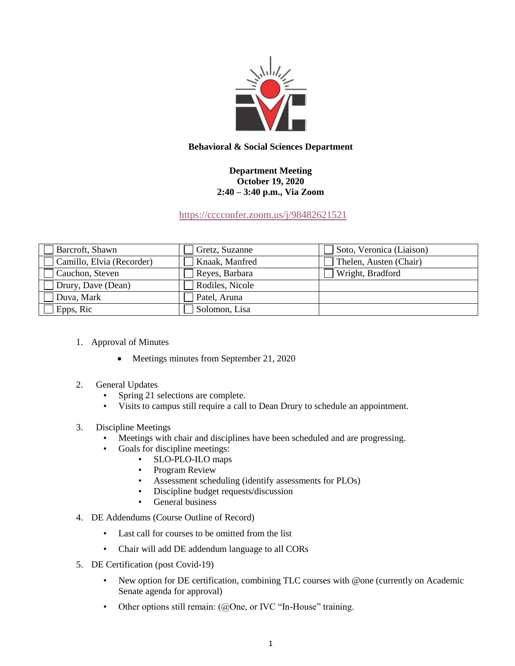

## **Behavioral & Social Sciences Department**

## **Department Meeting October 19, 2020 2:40 – 3:40 p.m., Via Zoom**

<https://cccconfer.zoom.us/j/98482621521>

| Barcroft, Shawn           | Gretz, Suzanne  | Soto, Veronica (Liaison) |
|---------------------------|-----------------|--------------------------|
| Camillo, Elvia (Recorder) | Knaak, Manfred  | Thelen, Austen (Chair)   |
| Cauchon, Steven           | Reyes, Barbara  | Wright, Bradford         |
| Drury, Dave (Dean)        | Rodiles, Nicole |                          |
| Duva, Mark                | Patel, Aruna    |                          |
| Epps, Ric                 | Solomon, Lisa   |                          |

- 1. Approval of Minutes
	- Meetings minutes from September 21, 2020
- 2. General Updates
	- Spring 21 selections are complete.
	- Visits to campus still require a call to Dean Drury to schedule an appointment.

## 3. Discipline Meetings

- Meetings with chair and disciplines have been scheduled and are progressing.
- Goals for discipline meetings:
	- SLO-PLO-ILO maps
	- Program Review
	- Assessment scheduling (identify assessments for PLOs)
	- Discipline budget requests/discussion
	- General business
- 4. DE Addendums (Course Outline of Record)
	- Last call for courses to be omitted from the list
	- Chair will add DE addendum language to all CORs
- 5. DE Certification (post Covid-19)
	- New option for DE certification, combining TLC courses with @one (currently on Academic Senate agenda for approval)
	- Other options still remain: (@One, or IVC "In-House" training.